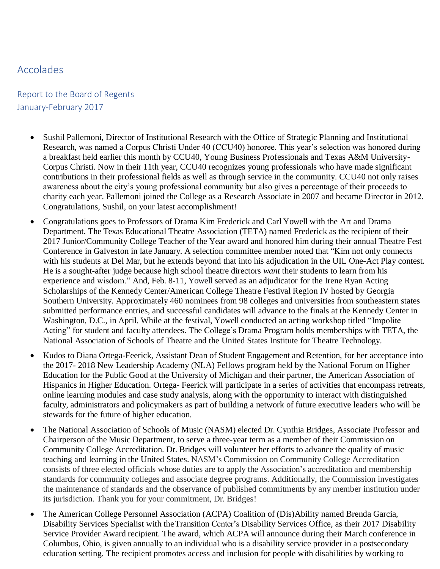## Accolades

## Report to the Board of Regents January-February 2017

- Sushil Pallemoni, Director of Institutional Research with the Office of Strategic Planning and Institutional Research, was named a Corpus Christi Under 40 (CCU40) honoree. This year's selection was honored during a breakfast held earlier this month by CCU40, Young Business Professionals and Texas A&M University-Corpus Christi. Now in their 11th year, CCU40 recognizes young professionals who have made significant contributions in their professional fields as well as through service in the community. CCU40 not only raises awareness about the city's young professional community but also gives a percentage of their proceeds to charity each year. Pallemoni joined the College as a Research Associate in 2007 and became Director in 2012. Congratulations, Sushil, on your latest accomplishment!
- Congratulations goes to Professors of Drama Kim Frederick and Carl Yowell with the Art and Drama Department. The Texas Educational Theatre Association (TETA) named Frederick as the recipient of their 2017 Junior/Community College Teacher of the Year award and honored him during their annual Theatre Fest Conference in Galveston in late January. A selection committee member noted that "Kim not only connects with his students at Del Mar, but he extends beyond that into his adjudication in the UIL One-Act Play contest. He is a sought-after judge because high school theatre directors *want* their students to learn from his experience and wisdom." And, Feb. 8-11, Yowell served as an adjudicator for the Irene Ryan Acting Scholarships of the Kennedy Center/American College Theatre Festival Region IV hosted by Georgia Southern University. Approximately 460 nominees from 98 colleges and universities from southeastern states submitted performance entries, and successful candidates will advance to the finals at the Kennedy Center in Washington, D.C., in April. While at the festival, Yowell conducted an acting workshop titled "Impolite Acting" for student and faculty attendees. The College's Drama Program holds memberships with TETA, the National Association of Schools of Theatre and the United States Institute for Theatre Technology.
- Kudos to Diana Ortega-Feerick, Assistant Dean of Student Engagement and Retention, for her acceptance into the 2017- 2018 New Leadership Academy (NLA) Fellows program held by the National Forum on Higher Education for the Public Good at the University of Michigan and their partner, the American Association of Hispanics in Higher Education. Ortega- Feerick will participate in a series of activities that encompass retreats, online learning modules and case study analysis, along with the opportunity to interact with distinguished faculty, administrators and policymakers as part of building a network of future executive leaders who will be stewards for the future of higher education.
- The National Association of Schools of Music (NASM) elected Dr. Cynthia Bridges, Associate Professor and Chairperson of the Music Department, to serve a three-year term as a member of their Commission on Community College Accreditation. Dr. Bridges will volunteer her efforts to advance the quality of music teaching and learning in the United States. NASM's Commission on Community College Accreditation consists of three elected officials whose duties are to apply the Association's accreditation and membership standards for community colleges and associate degree programs. Additionally, the Commission investigates the maintenance of standards and the observance of published commitments by any member institution under its jurisdiction. Thank you for your commitment, Dr. Bridges!
- The American College Personnel Association (ACPA) Coalition of (Dis)Ability named Brenda Garcia, Disability Services Specialist with theTransition Center's Disability Services Office, as their 2017 Disability Service Provider Award recipient. The award, which ACPA will announce during their March conference in Columbus, Ohio, is given annually to an individual who is a disability service provider in a postsecondary education setting. The recipient promotes access and inclusion for people with disabilities by working to